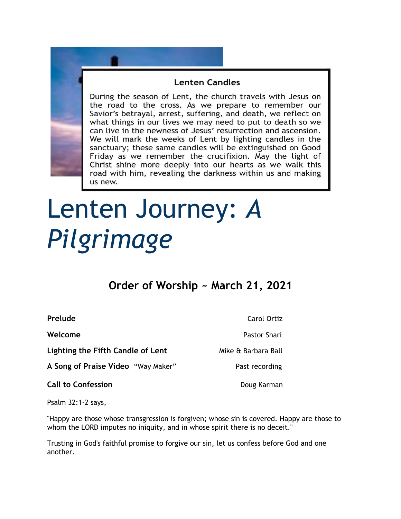## **Lenten Candles**

During the season of Lent, the church travels with Jesus on the road to the cross. As we prepare to remember our Savior's betrayal, arrest, suffering, and death, we reflect on what things in our lives we may need to put to death so we can live in the newness of Jesus' resurrection and ascension. We will mark the weeks of Lent by lighting candles in the sanctuary; these same candles will be extinguished on Good Friday as we remember the crucifixion. May the light of Christ shine more deeply into our hearts as we walk this road with him, revealing the darkness within us and making us new.

# Lenten Journey: *A Pilgrimage*

# **Order of Worship ~ March 21, 2021**

**Lighting the Fifth Candle of Lent** Mike & Barbara Ball

A Song of Praise Video "Way Maker" Past recording

**Call to Confession**  Doug Karman

**Prelude** Carol Ortiz

**Welcome** Pastor Shari

Psalm 32:1-2 says,

"Happy are those whose transgression is forgiven; whose sin is covered. Happy are those to whom the LORD imputes no iniquity, and in whose spirit there is no deceit."

Trusting in God's faithful promise to forgive our sin, let us confess before God and one another.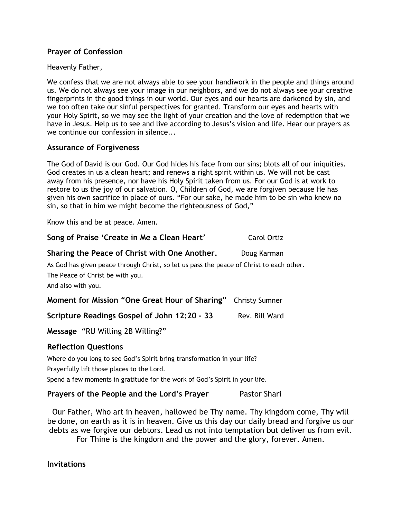### **Prayer of Confession**

#### Heavenly Father,

We confess that we are not always able to see your handiwork in the people and things around us. We do not always see your image in our neighbors, and we do not always see your creative fingerprints in the good things in our world. Our eyes and our hearts are darkened by sin, and we too often take our sinful perspectives for granted. Transform our eyes and hearts with your Holy Spirit, so we may see the light of your creation and the love of redemption that we have in Jesus. Help us to see and live according to Jesus's vision and life. Hear our prayers as we continue our confession in silence...

#### **Assurance of Forgiveness**

The God of David is our God. Our God hides his face from our sins; blots all of our iniquities. God creates in us a clean heart; and renews a right spirit within us. We will not be cast away from his presence, nor have his Holy Spirit taken from us. For our God is at work to restore to us the joy of our salvation. O, Children of God, we are forgiven because He has given his own sacrifice in place of ours. "For our sake, he made him to be sin who knew no sin, so that in him we might become the righteousness of God,"

Know this and be at peace. Amen.

| Song of Praise 'Create in Me a Clean Heart'                                                                                                        | <b>Carol Ortiz</b>    |
|----------------------------------------------------------------------------------------------------------------------------------------------------|-----------------------|
| Sharing the Peace of Christ with One Another.                                                                                                      | Doug Karman           |
| As God has given peace through Christ, so let us pass the peace of Christ to each other.<br>The Peace of Christ be with you.<br>And also with you. |                       |
| Moment for Mission "One Great Hour of Sharing"                                                                                                     | <b>Christy Sumner</b> |
| Scripture Readings Gospel of John 12:20 - 33                                                                                                       | Rev. Bill Ward        |
| Message "RU Willing 2B Willing?"                                                                                                                   |                       |
| <b>Reflection Questions</b>                                                                                                                        |                       |
| Where do you long to see God's Spirit bring transformation in your life?                                                                           |                       |

Prayerfully lift those places to the Lord.

Spend a few moments in gratitude for the work of God's Spirit in your life.

### **Prayers of the People and the Lord's Prayer** Pastor Shari

Our Father, Who art in heaven, hallowed be Thy name. Thy kingdom come, Thy will be done, on earth as it is in heaven. Give us this day our daily bread and forgive us our debts as we forgive our debtors. Lead us not into temptation but deliver us from evil.

For Thine is the kingdom and the power and the glory, forever. Amen.

**Invitations**